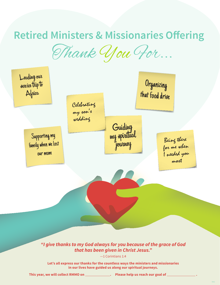Thank You For...

## **Retired Ministers & Missionaries Offering**

*"I give thanks to my God always for you because of the grace of God that has been given in Christ Jesus."*

—1 Corintians 1:4

**Let's all express our thanks for the countless ways the ministers and missionaries in our lives have guided us along our spiritual journeys.**

This year, we will collect RMMO on **\_\_\_\_\_\_\_\_\_\_\_\_\_\_\_\_\_\_\_.** Please help us reach our goal of \_\_

Celebrating my son's wedding Leading our service trip to xice trip to<br>Africa Africa that food drive Supporting my family when we lost our mom Being there for me when I needed you most Guiding my spiritual journey